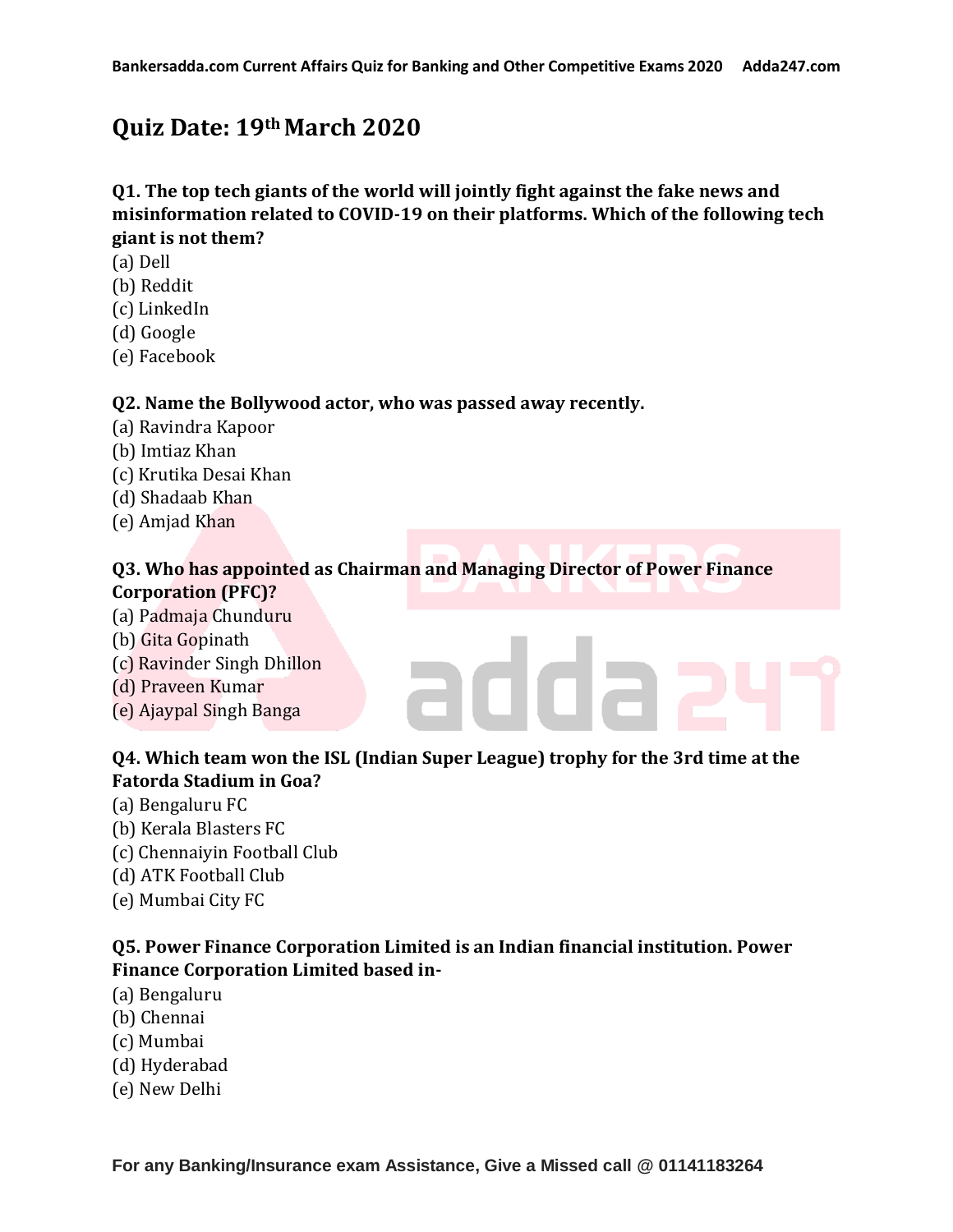# **Quiz Date: 19thMarch 2020**

# **Q1. The top tech giants of the world will jointly fight against the fake news and misinformation related to COVID-19 on their platforms. Which of the following tech giant is not them?**

- (a) Dell
- (b) Reddit
- (c) LinkedIn
- (d) Google
- (e) Facebook

### **Q2. Name the Bollywood actor, who was passed away recently.**

- (a) Ravindra Kapoor
- (b) Imtiaz Khan
- (c) Krutika Desai Khan
- (d) Shadaab Khan
- (e) Amjad Khan

### **Q3. Who has appointed as Chairman and Managing Director of Power Finance Corporation (PFC)?**

- (a) Padmaja Chunduru
- (b) Gita Gopinath
- (c) Ravinder Singh Dhillon
- (d) Praveen Kumar
- (e) Ajaypal Singh Banga

# **Q4. Which team won the ISL (Indian Super League) trophy for the 3rd time at the Fatorda Stadium in Goa?**

adda

- (a) Bengaluru FC
- (b) Kerala Blasters FC
- (c) Chennaiyin Football Club
- (d) ATK Football Club
- (e) Mumbai City FC

# **Q5. Power Finance Corporation Limited is an Indian financial institution. Power Finance Corporation Limited based in-**

- (a) Bengaluru
- (b) Chennai
- (c) Mumbai
- (d) Hyderabad
- (e) New Delhi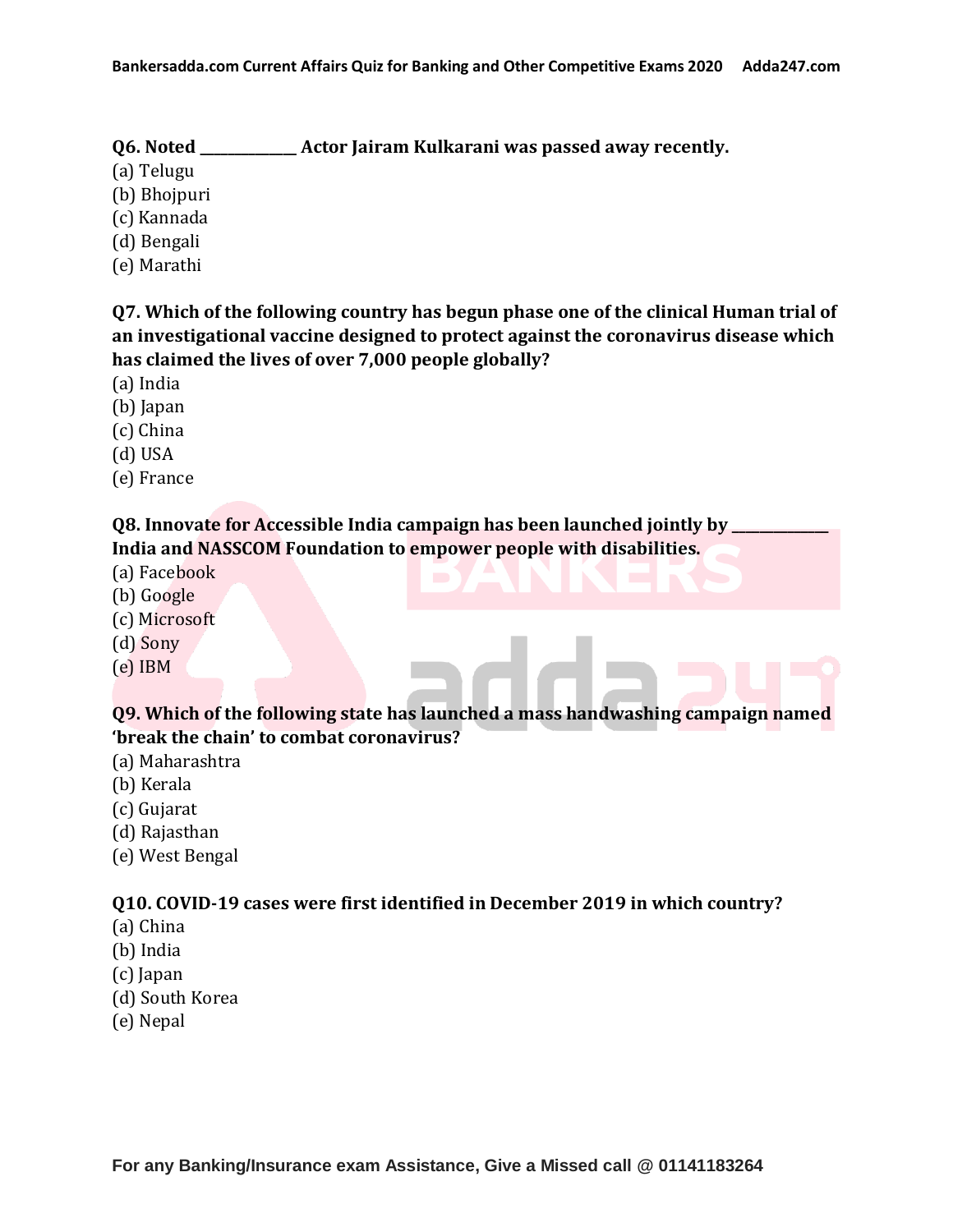- **Q6. Noted \_\_\_\_\_\_\_\_\_\_\_\_\_\_ Actor Jairam Kulkarani was passed away recently.**
- (a) Telugu
- (b) Bhojpuri
- (c) Kannada
- (d) Bengali
- (e) Marathi

**Q7. Which of the following country has begun phase one of the clinical Human trial of an investigational vaccine designed to protect against the coronavirus disease which has claimed the lives of over 7,000 people globally?**

- (a) India
- (b) Japan
- (c) China
- (d) USA
- (e) France

# **Q8. Innovate for Accessible India campaign has been launched jointly by India and NASSCOM Foundation to empower people with disabilities.**

- (a) Facebook
- (b) Google
- (c) Microsoft
- (d) Sony
- (e) IBM

# **Q9. Which of the following state has launched a mass handwashing campaign named 'break the chain' to combat coronavirus?**

- (a) Maharashtra
- (b) Kerala
- (c) Gujarat
- (d) Rajasthan
- (e) West Bengal

# **Q10. COVID-19 cases were first identified in December 2019 in which country?**

- (a) China
- (b) India
- (c) Japan
- (d) South Korea
- (e) Nepal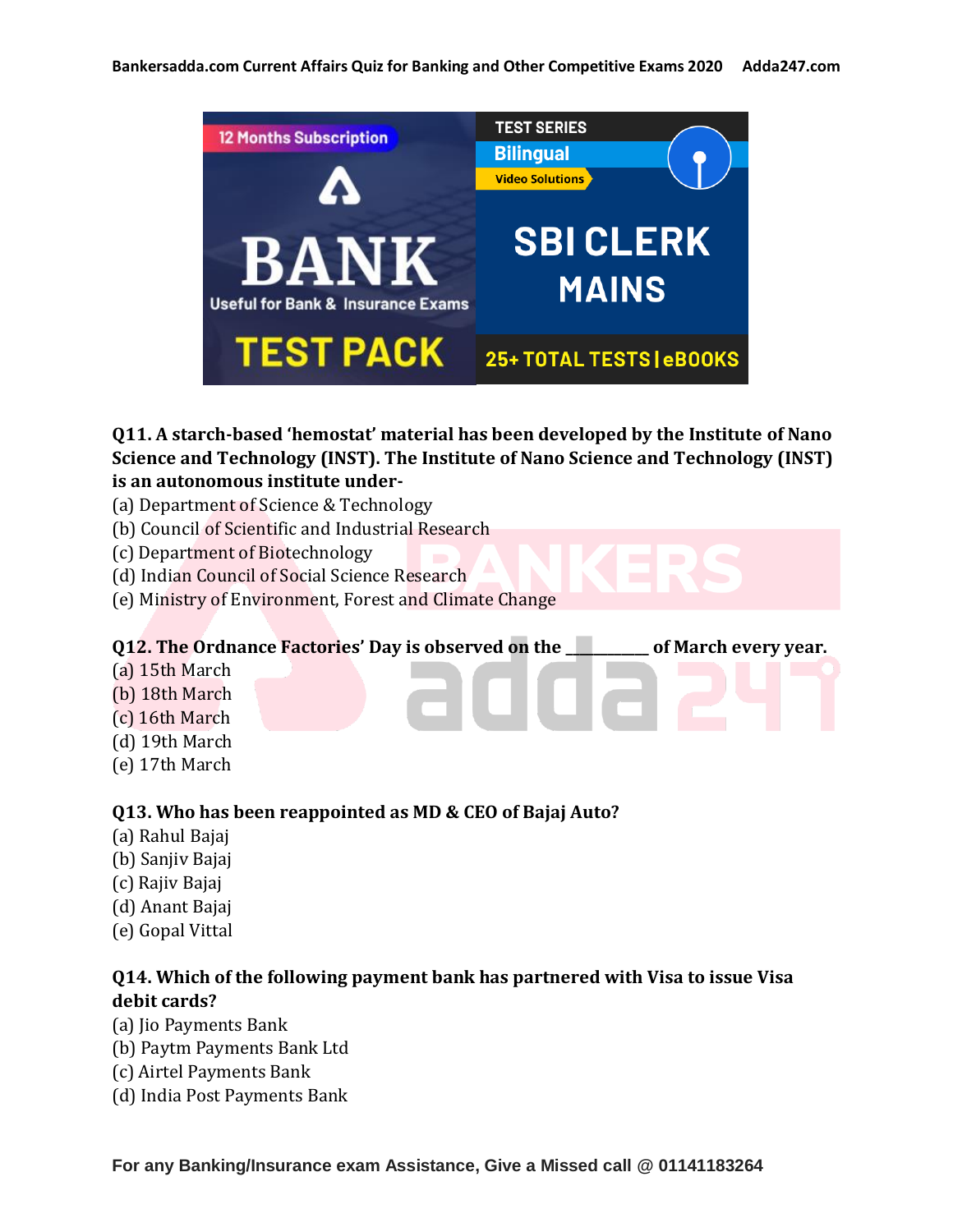

**Q11. A starch-based 'hemostat' material has been developed by the Institute of Nano Science and Technology (INST). The Institute of Nano Science and Technology (INST) is an autonomous institute under-**

- (a) Department of Science & Technology
- (b) Council of Scientific and Industrial Research
- (c) Department of Biotechnology
- (d) Indian Council of Social Science Research
- (e) Ministry of Environment, Forest and Climate Change

#### **Q12. The Ordnance Factories' Day is observed on the \_\_\_\_\_\_\_\_\_\_\_\_ of March every year.**

- (a) 15th March
- (b) 18th March
- (c) 16th March
- (d) 19th March
- 
- (e) 17th March

### **Q13. Who has been reappointed as MD & CEO of Bajaj Auto?**

- (a) Rahul Bajaj
- (b) Sanjiv Bajaj
- (c) Rajiv Bajaj
- (d) Anant Bajaj
- (e) Gopal Vittal

# **Q14. Which of the following payment bank has partnered with Visa to issue Visa debit cards?**

- (a) Jio Payments Bank
- (b) Paytm Payments Bank Ltd
- (c) Airtel Payments Bank
- (d) India Post Payments Bank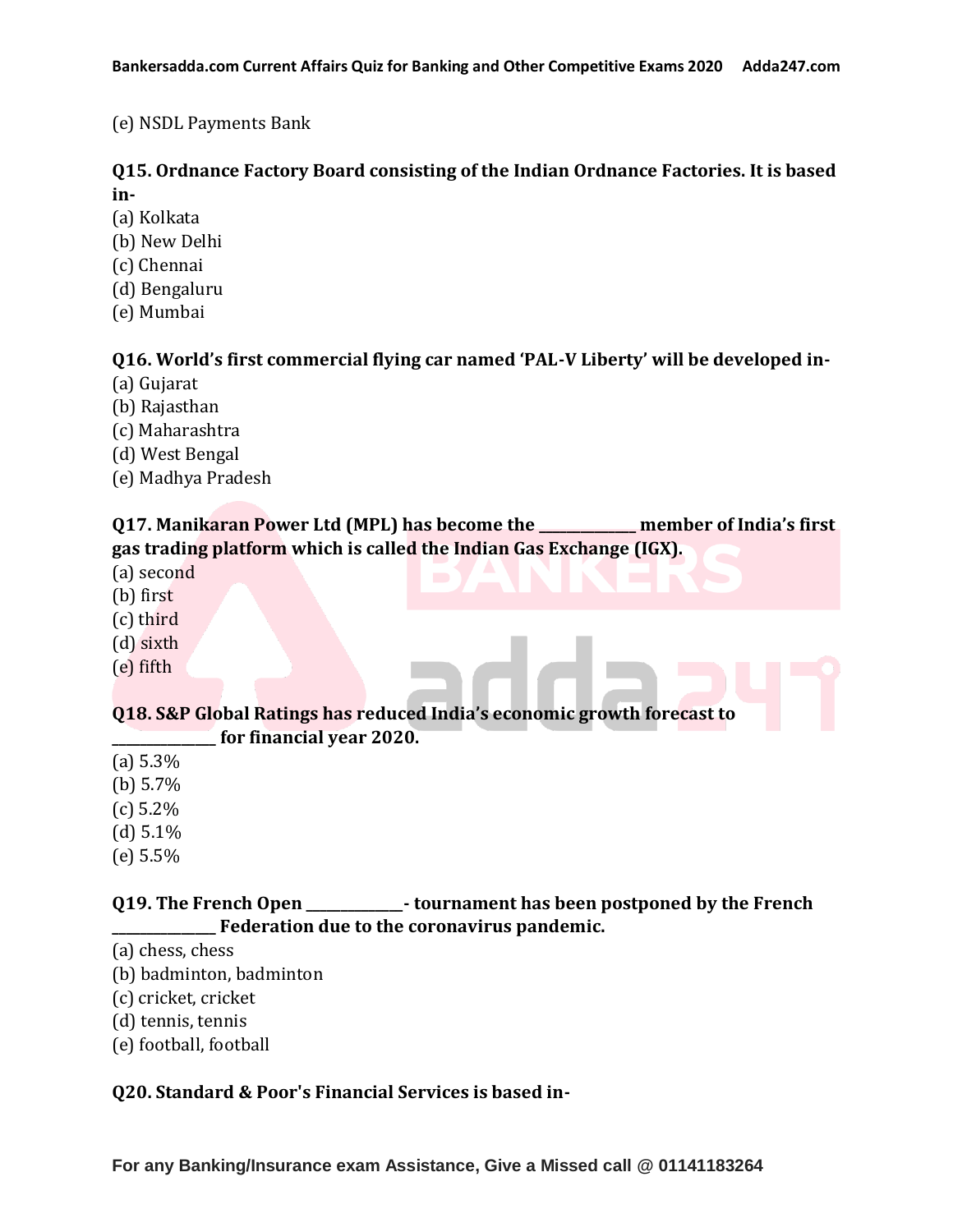### (e) NSDL Payments Bank

### **Q15. Ordnance Factory Board consisting of the Indian Ordnance Factories. It is based in-**

- (a) Kolkata
- (b) New Delhi
- (c) Chennai
- (d) Bengaluru
- (e) Mumbai

### **Q16. World's first commercial flying car named 'PAL-V Liberty' will be developed in-**

- (a) Gujarat
- (b) Rajasthan
- (c) Maharashtra
- (d) West Bengal
- (e) Madhya Pradesh

### **Q17. Manikaran Power Ltd (MPL) has become the \_\_\_\_\_\_\_\_\_\_\_\_\_\_ member of India's first gas trading platform which is called the Indian Gas Exchange (IGX).**

- (a) second
- (b) first
- (c) third
- (d) sixth
- (e) fifth

### **Q18. S&P Global Ratings has reduced India's economic growth forecast to \_\_\_\_\_\_\_\_\_\_\_\_\_\_\_ for financial year 2020.**

- (a) 5.3%
- (b)  $5.7\%$
- (c) 5.2%
- $(d)$  5.1%
- (e) 5.5%

# **Q19. The French Open \_\_\_\_\_\_\_\_\_\_\_\_\_\_- tournament has been postponed by the French \_\_\_\_\_\_\_\_\_\_\_\_\_\_\_ Federation due to the coronavirus pandemic.**

- (a) chess, chess
- (b) badminton, badminton
- (c) cricket, cricket
- (d) tennis, tennis
- (e) football, football

### **Q20. Standard & Poor's Financial Services is based in-**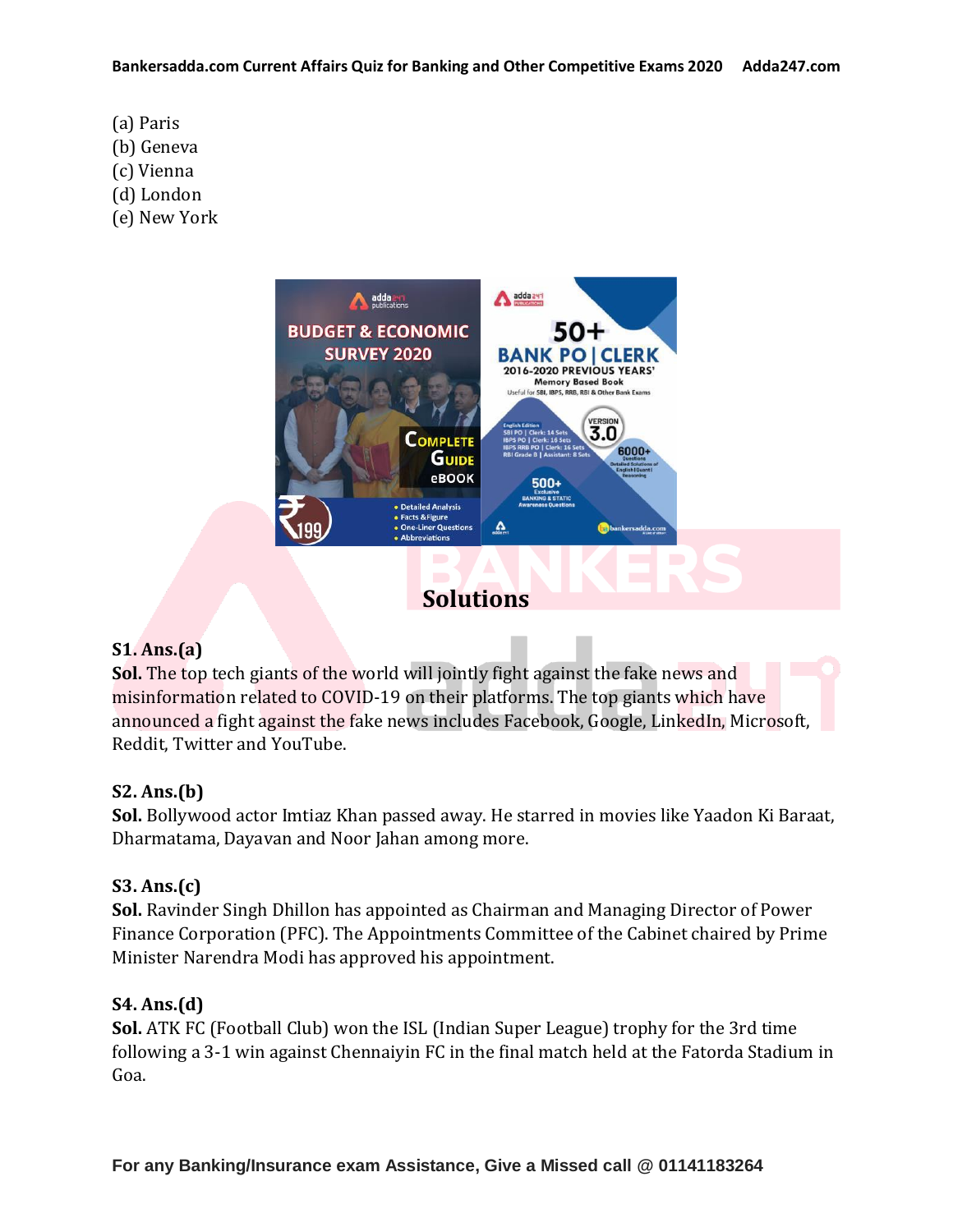- (a) Paris
- (b) Geneva
- (c) Vienna
- (d) London
- (e) New York



### **S1. Ans.(a)**

**Sol.** The top tech giants of the world will jointly fight against the fake news and misinformation related to COVID-19 on their platforms. The top giants which have announced a fight against the fake news includes Facebook, Google, LinkedIn, Microsoft, Reddit, Twitter and YouTube.

# **S2. Ans.(b)**

**Sol.** Bollywood actor Imtiaz Khan passed away. He starred in movies like Yaadon Ki Baraat, Dharmatama, Dayavan and Noor Jahan among more.

# **S3. Ans.(c)**

**Sol.** Ravinder Singh Dhillon has appointed as Chairman and Managing Director of Power Finance Corporation (PFC). The Appointments Committee of the Cabinet chaired by Prime Minister Narendra Modi has approved his appointment.

# **S4. Ans.(d)**

**Sol.** ATK FC (Football Club) won the ISL (Indian Super League) trophy for the 3rd time following a 3-1 win against Chennaiyin FC in the final match held at the Fatorda Stadium in Goa.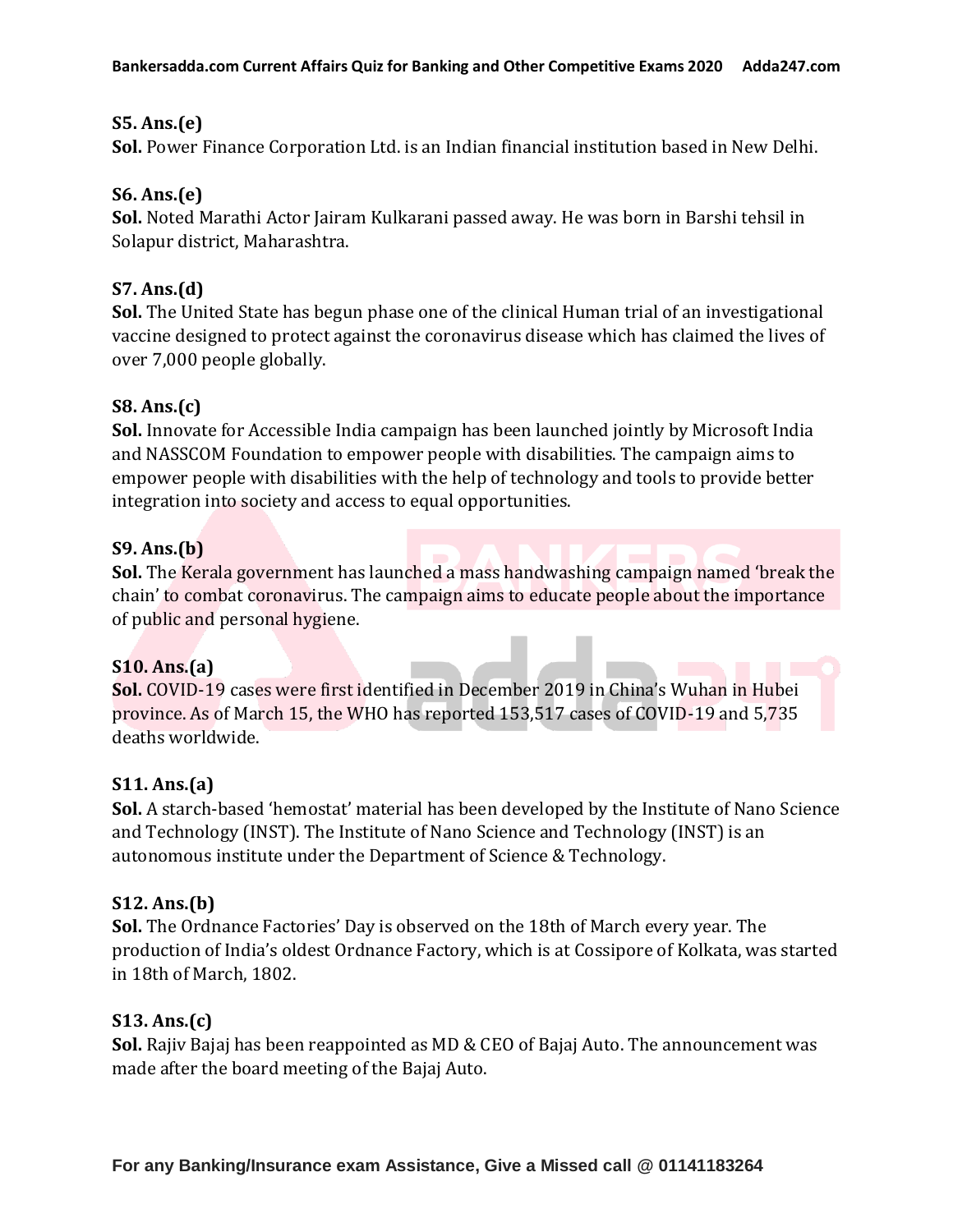### **S5. Ans.(e)**

**Sol.** Power Finance Corporation Ltd. is an Indian financial institution based in New Delhi.

### **S6. Ans.(e)**

**Sol.** Noted Marathi Actor Jairam Kulkarani passed away. He was born in Barshi tehsil in Solapur district, Maharashtra.

### **S7. Ans.(d)**

**Sol.** The United State has begun phase one of the clinical Human trial of an investigational vaccine designed to protect against the coronavirus disease which has claimed the lives of over 7,000 people globally.

### **S8. Ans.(c)**

**Sol.** Innovate for Accessible India campaign has been launched jointly by Microsoft India and NASSCOM Foundation to empower people with disabilities. The campaign aims to empower people with disabilities with the help of technology and tools to provide better integration into society and access to equal opportunities.

### **S9. Ans.(b)**

**Sol.** The Kerala government has launched a mass handwashing campaign named 'break the chain' to combat coronavirus. The campaign aims to educate people about the importance of public and personal hygiene.

#### **S10. Ans.(a)**

**Sol.** COVID-19 cases were first identified in December 2019 in China's Wuhan in Hubei province. As of March 15, the WHO has reported 153,517 cases of COVID-19 and 5,735 deaths worldwide.

#### **S11. Ans.(a)**

**Sol.** A starch-based 'hemostat' material has been developed by the Institute of Nano Science and Technology (INST). The Institute of Nano Science and Technology (INST) is an autonomous institute under the Department of Science & Technology.

#### **S12. Ans.(b)**

**Sol.** The Ordnance Factories' Day is observed on the 18th of March every year. The production of India's oldest Ordnance Factory, which is at Cossipore of Kolkata, was started in 18th of March, 1802.

#### **S13. Ans.(c)**

**Sol.** Rajiv Bajaj has been reappointed as MD & CEO of Bajaj Auto. The announcement was made after the board meeting of the Bajaj Auto.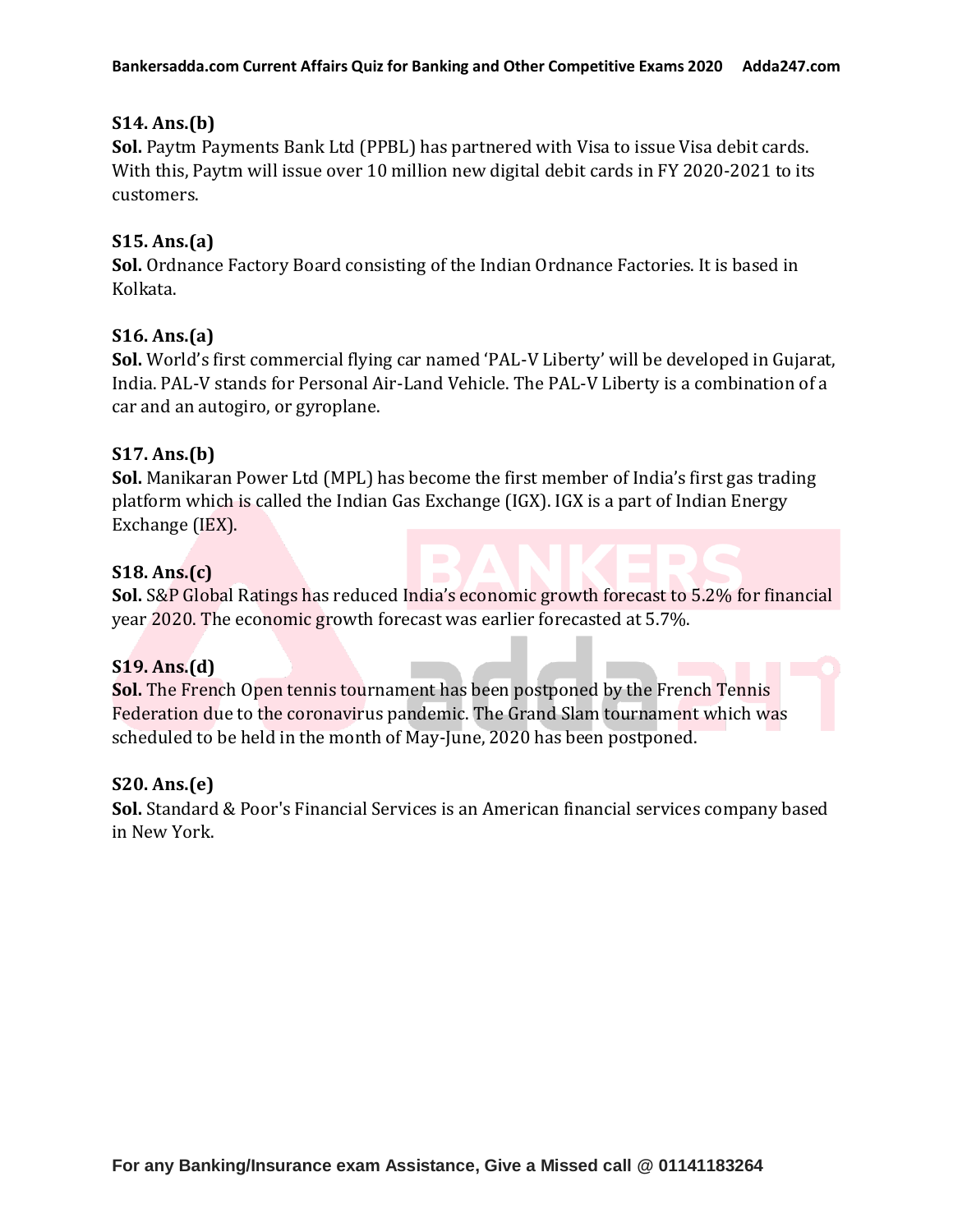### **S14. Ans.(b)**

**Sol.** Paytm Payments Bank Ltd (PPBL) has partnered with Visa to issue Visa debit cards. With this, Paytm will issue over 10 million new digital debit cards in FY 2020-2021 to its customers.

### **S15. Ans.(a)**

**Sol.** Ordnance Factory Board consisting of the Indian Ordnance Factories. It is based in Kolkata.

### **S16. Ans.(a)**

**Sol.** World's first commercial flying car named 'PAL-V Liberty' will be developed in Gujarat, India. PAL-V stands for Personal Air-Land Vehicle. The PAL-V Liberty is a combination of a car and an autogiro, or gyroplane.

### **S17. Ans.(b)**

**Sol.** Manikaran Power Ltd (MPL) has become the first member of India's first gas trading platform which is called the Indian Gas Exchange (IGX). IGX is a part of Indian Energy Exchange (IEX).

### **S18. Ans.(c)**

**Sol.** S&P Global Ratings has reduced India's economic growth forecast to 5.2% for financial year 2020. The economic growth forecast was earlier forecasted at 5.7%.

#### **S19. Ans.(d)**

**Sol.** The French Open tennis tournament has been postponed by the French Tennis Federation due to the coronavirus pandemic. The Grand Slam tournament which was scheduled to be held in the month of May-June, 2020 has been postponed.

#### **S20. Ans.(e)**

**Sol.** Standard & Poor's Financial Services is an American financial services company based in New York.